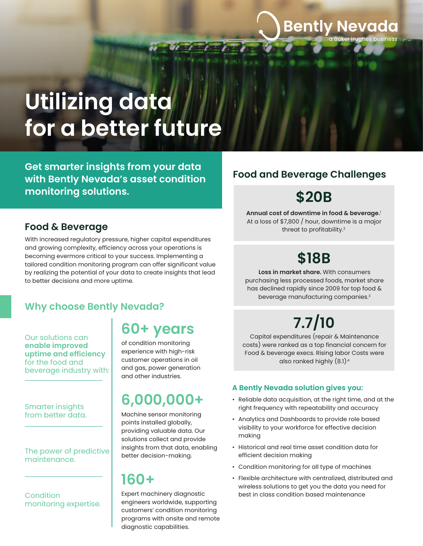# **Utilizing data for a better future**

**Get smarter insights from your data with Bently Nevada's asset condition monitoring solutions.**

## **Food & Beverage**

With increased regulatory pressure, higher capital expenditures and growing complexity, efficiency across your operations is becoming evermore critical to your success. Implementing a tailored condition monitoring program can offer significant value by realizing the potential of your data to create insights that lead to better decisions and more uptime.

## **Why choose Bently Nevada?**

Our solutions can **enable improved uptime and efficiency** for the food and beverage industry with:

Smarter insights from better data.

#### The power of predictive maintenance.

**Condition** monitoring expertise.

## **60+ years**

of condition monitoring experience with high-risk customer operations in oil and gas, power generation and other industries.

# **6,000,000+**

Machine sensor monitoring points installed globally, providing valuable data. Our solutions collect and provide insights from that data, enabling better decision-making.

## **160+**

Expert machinery diagnostic engineers worldwide, supporting customers' condition monitoring programs with onsite and remote diagnostic capabilities.

## **Food and Beverage Challenges**

# **\$20B**

**Bently Nevada** 

Hughes business

**Annual cost of downtime in food & beverage.**<sup>1</sup> At a loss of \$7,800 / hour, downtime is a major threat to profitability.<sup>2</sup>

# **\$18B**

**Loss in market share.** With consumers purchasing less processed foods, market share has declined rapidly since 2009 for top food & beverage manufacturing companies.<sup>3</sup>

# **7.7/10**

Capital expenditures (repair & Maintenance costs) were ranked as a top financial concern for Food & beverage execs. Rising labor Costs were also ranked highly (8.1).4

### **A Bently Nevada solution gives you:**

- Reliable data acquisition, at the right time, and at the right frequency with repeatability and accuracy
- Analytics and Dashboards to provide role based visibility to your workforce for effective decision making
- Historical and real time asset condition data for efficient decision making
- Condition monitoring for all type of machines
- Flexible architecture with centralized, distributed and wireless solutions to get you the data you need for best in class condition based maintenance